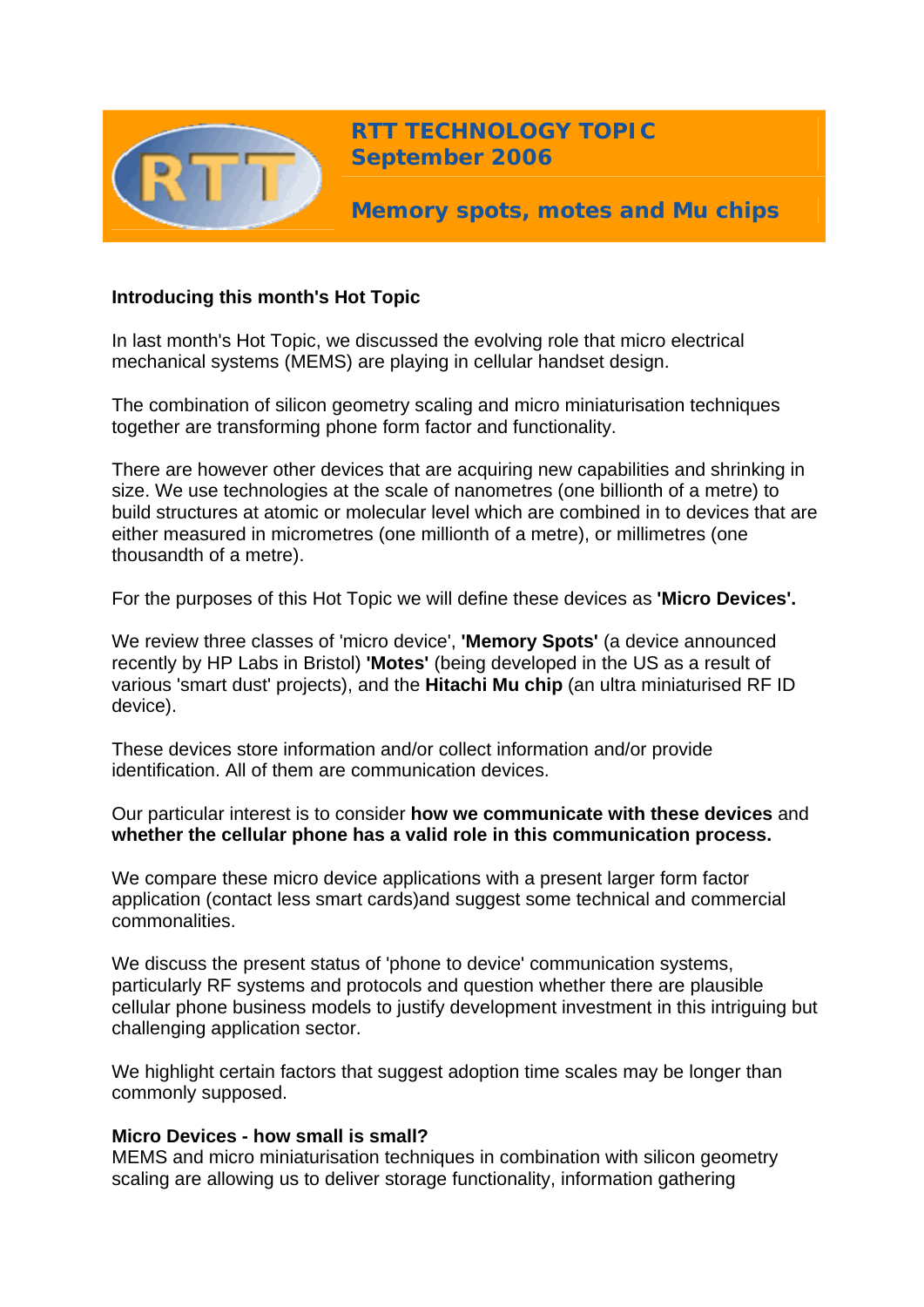

**RTT TECHNOLOGY TOPIC September 2006**

**Memory spots, motes and Mu chips** 

# **Introducing this month's Hot Topic**

In last month's Hot Topic, we discussed the evolving role that micro electrical mechanical systems (MEMS) are playing in cellular handset design.

The combination of silicon geometry scaling and micro miniaturisation techniques together are transforming phone form factor and functionality.

There are however other devices that are acquiring new capabilities and shrinking in size. We use technologies at the scale of nanometres (one billionth of a metre) to build structures at atomic or molecular level which are combined in to devices that are either measured in micrometres (one millionth of a metre), or millimetres (one thousandth of a metre).

For the purposes of this Hot Topic we will define these devices as **'Micro Devices'.** 

We review three classes of 'micro device', **'Memory Spots'** (a device announced recently by HP Labs in Bristol) **'Motes'** (being developed in the US as a result of various 'smart dust' projects), and the **Hitachi Mu chip** (an ultra miniaturised RF ID device).

These devices store information and/or collect information and/or provide identification. All of them are communication devices.

## Our particular interest is to consider **how we communicate with these devices** and **whether the cellular phone has a valid role in this communication process.**

We compare these micro device applications with a present larger form factor application (contact less smart cards)and suggest some technical and commercial commonalities.

We discuss the present status of 'phone to device' communication systems, particularly RF systems and protocols and question whether there are plausible cellular phone business models to justify development investment in this intriguing but challenging application sector.

We highlight certain factors that suggest adoption time scales may be longer than commonly supposed.

# **Micro Devices - how small is small?**

MEMS and micro miniaturisation techniques in combination with silicon geometry scaling are allowing us to deliver storage functionality, information gathering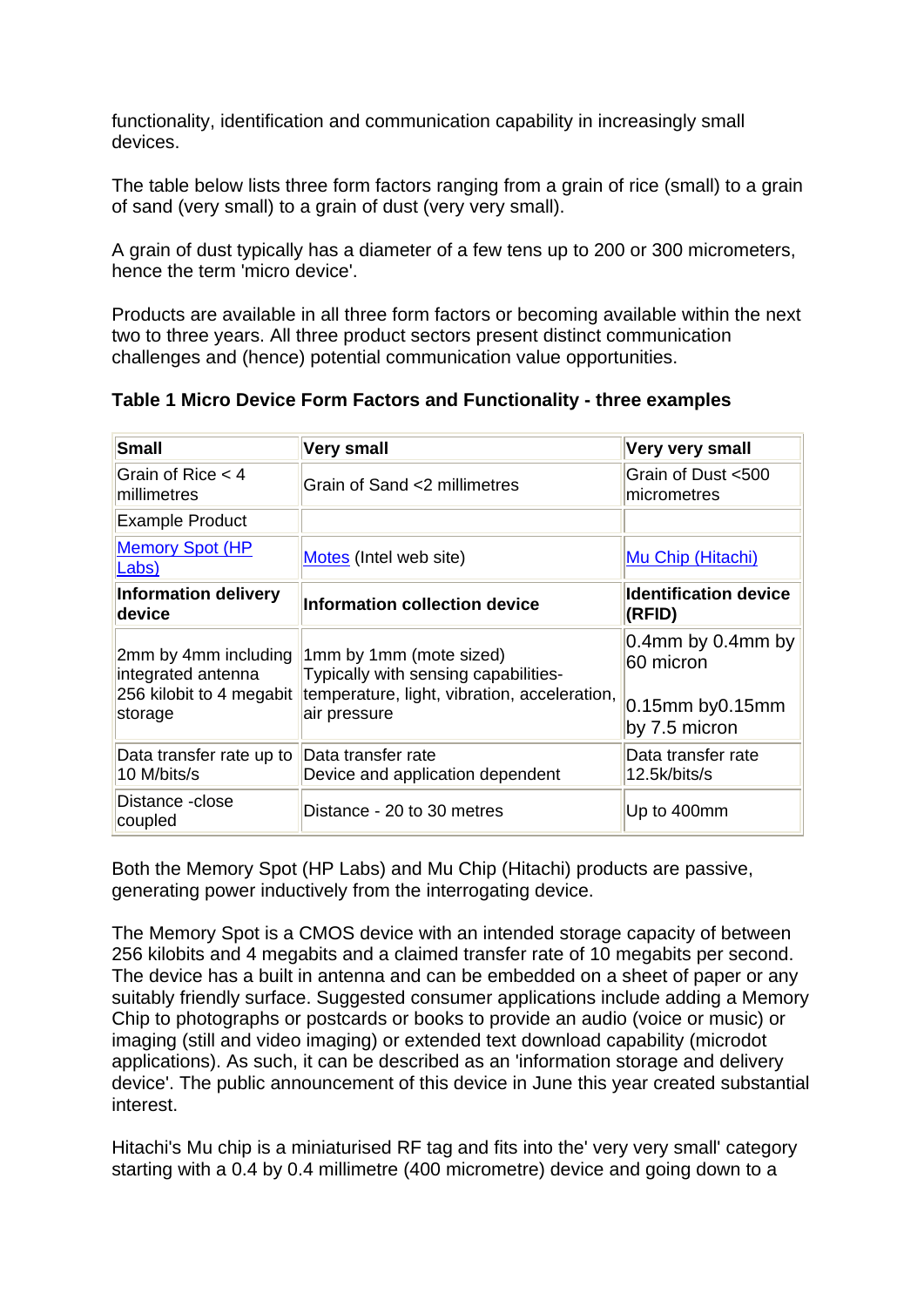functionality, identification and communication capability in increasingly small devices.

The table below lists three form factors ranging from a grain of rice (small) to a grain of sand (very small) to a grain of dust (very very small).

A grain of dust typically has a diameter of a few tens up to 200 or 300 micrometers, hence the term 'micro device'.

Products are available in all three form factors or becoming available within the next two to three years. All three product sectors present distinct communication challenges and (hence) potential communication value opportunities.

| <b>Small</b>                                                                      | <b>Very small</b>                                                                                                               | Very very small                         |
|-----------------------------------------------------------------------------------|---------------------------------------------------------------------------------------------------------------------------------|-----------------------------------------|
| Grain of Rice $<$ 4<br>millimetres                                                | Grain of Sand <2 millimetres                                                                                                    | Grain of Dust <500<br>micrometres       |
| <b>Example Product</b>                                                            |                                                                                                                                 |                                         |
| <b>Memory Spot (HP)</b><br>Labs)                                                  | Motes (Intel web site)                                                                                                          | Mu Chip (Hitachi)                       |
| <b>Information delivery</b><br>device                                             | Information collection device                                                                                                   | <b>Identification device</b><br>(RFID)  |
| 2mm by 4mm including<br>integrated antenna<br>256 kilobit to 4 megabit<br>storage | 1mm by 1mm (mote sized)<br>Typically with sensing capabilities-<br>temperature, light, vibration, acceleration,<br>air pressure | $0.4$ mm by 0.4mm by<br>60 micron       |
|                                                                                   |                                                                                                                                 | $0.15$ mm by $0.15$ mm<br>by 7.5 micron |
| Data transfer rate up to<br>10 M/bits/s                                           | Data transfer rate<br>Device and application dependent                                                                          | Data transfer rate<br>12.5k/bits/s      |
| Distance -close<br>coupled                                                        | Distance - 20 to 30 metres                                                                                                      | Up to 400mm                             |

**Table 1 Micro Device Form Factors and Functionality - three examples**

Both the Memory Spot (HP Labs) and Mu Chip (Hitachi) products are passive, generating power inductively from the interrogating device.

The Memory Spot is a CMOS device with an intended storage capacity of between 256 kilobits and 4 megabits and a claimed transfer rate of 10 megabits per second. The device has a built in antenna and can be embedded on a sheet of paper or any suitably friendly surface. Suggested consumer applications include adding a Memory Chip to photographs or postcards or books to provide an audio (voice or music) or imaging (still and video imaging) or extended text download capability (microdot applications). As such, it can be described as an 'information storage and delivery device'. The public announcement of this device in June this year created substantial interest.

Hitachi's Mu chip is a miniaturised RF tag and fits into the' very very small' category starting with a 0.4 by 0.4 millimetre (400 micrometre) device and going down to a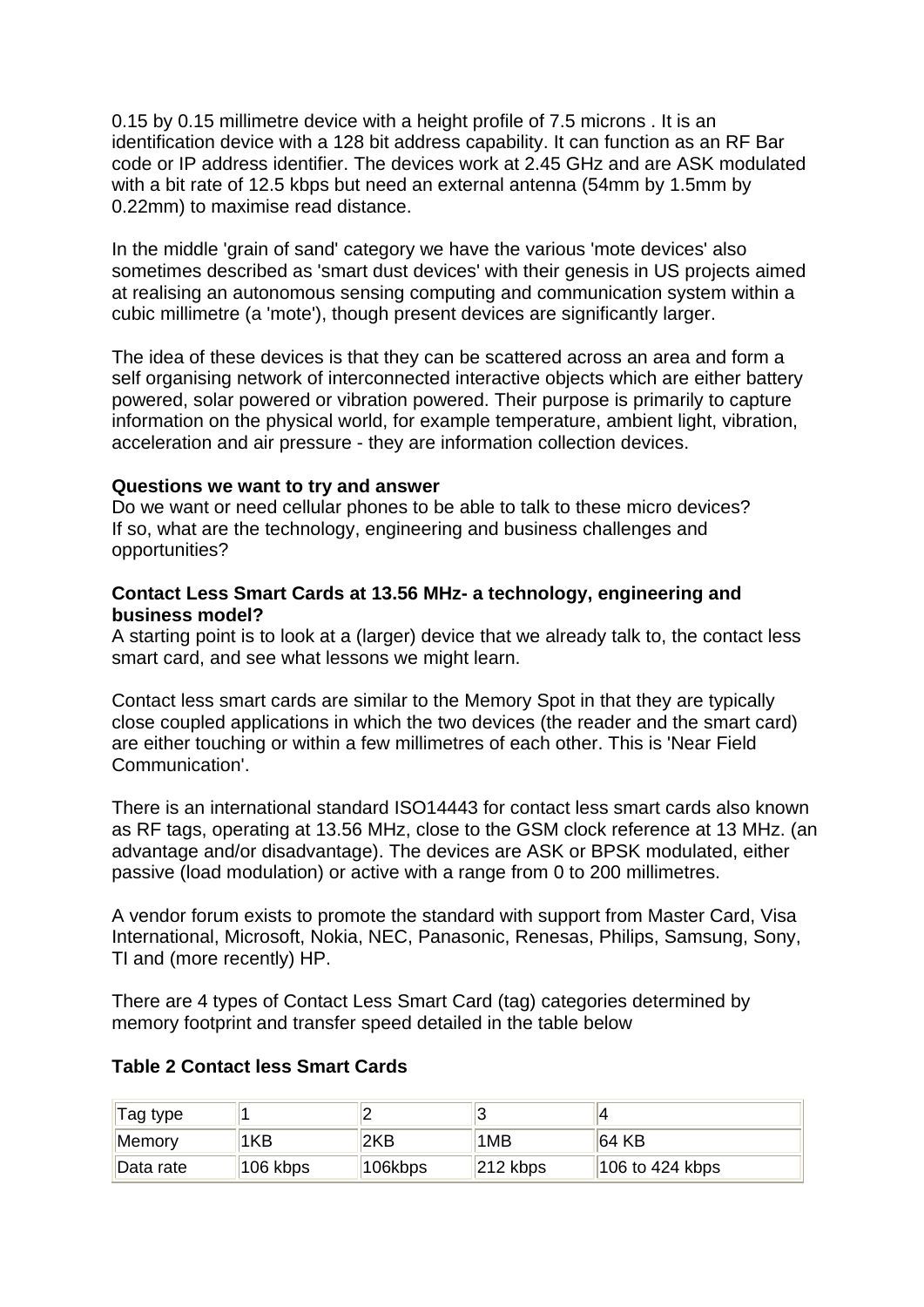0.15 by 0.15 millimetre device with a height profile of 7.5 microns . It is an identification device with a 128 bit address capability. It can function as an RF Bar code or IP address identifier. The devices work at 2.45 GHz and are ASK modulated with a bit rate of 12.5 kbps but need an external antenna (54mm by 1.5mm by 0.22mm) to maximise read distance.

In the middle 'grain of sand' category we have the various 'mote devices' also sometimes described as 'smart dust devices' with their genesis in US projects aimed at realising an autonomous sensing computing and communication system within a cubic millimetre (a 'mote'), though present devices are significantly larger.

The idea of these devices is that they can be scattered across an area and form a self organising network of interconnected interactive objects which are either battery powered, solar powered or vibration powered. Their purpose is primarily to capture information on the physical world, for example temperature, ambient light, vibration, acceleration and air pressure - they are information collection devices.

#### **Questions we want to try and answer**

Do we want or need cellular phones to be able to talk to these micro devices? If so, what are the technology, engineering and business challenges and opportunities?

#### **Contact Less Smart Cards at 13.56 MHz- a technology, engineering and business model?**

A starting point is to look at a (larger) device that we already talk to, the contact less smart card, and see what lessons we might learn.

Contact less smart cards are similar to the Memory Spot in that they are typically close coupled applications in which the two devices (the reader and the smart card) are either touching or within a few millimetres of each other. This is 'Near Field Communication'.

There is an international standard ISO14443 for contact less smart cards also known as RF tags, operating at 13.56 MHz, close to the GSM clock reference at 13 MHz. (an advantage and/or disadvantage). The devices are ASK or BPSK modulated, either passive (load modulation) or active with a range from 0 to 200 millimetres.

A vendor forum exists to promote the standard with support from Master Card, Visa International, Microsoft, Nokia, NEC, Panasonic, Renesas, Philips, Samsung, Sony, TI and (more recently) HP.

There are 4 types of Contact Less Smart Card (tag) categories determined by memory footprint and transfer speed detailed in the table below

### **Table 2 Contact less Smart Cards**

| <sup>⊣</sup> Tag type |            |          |             |                   |
|-----------------------|------------|----------|-------------|-------------------|
| <b>Memory</b>         | 1KB        | 2KB      | 1MB         | 164 KB            |
| Data rate             | $106$ kbps | ™106kbps | $ 212$ kbps | $106$ to 424 kbps |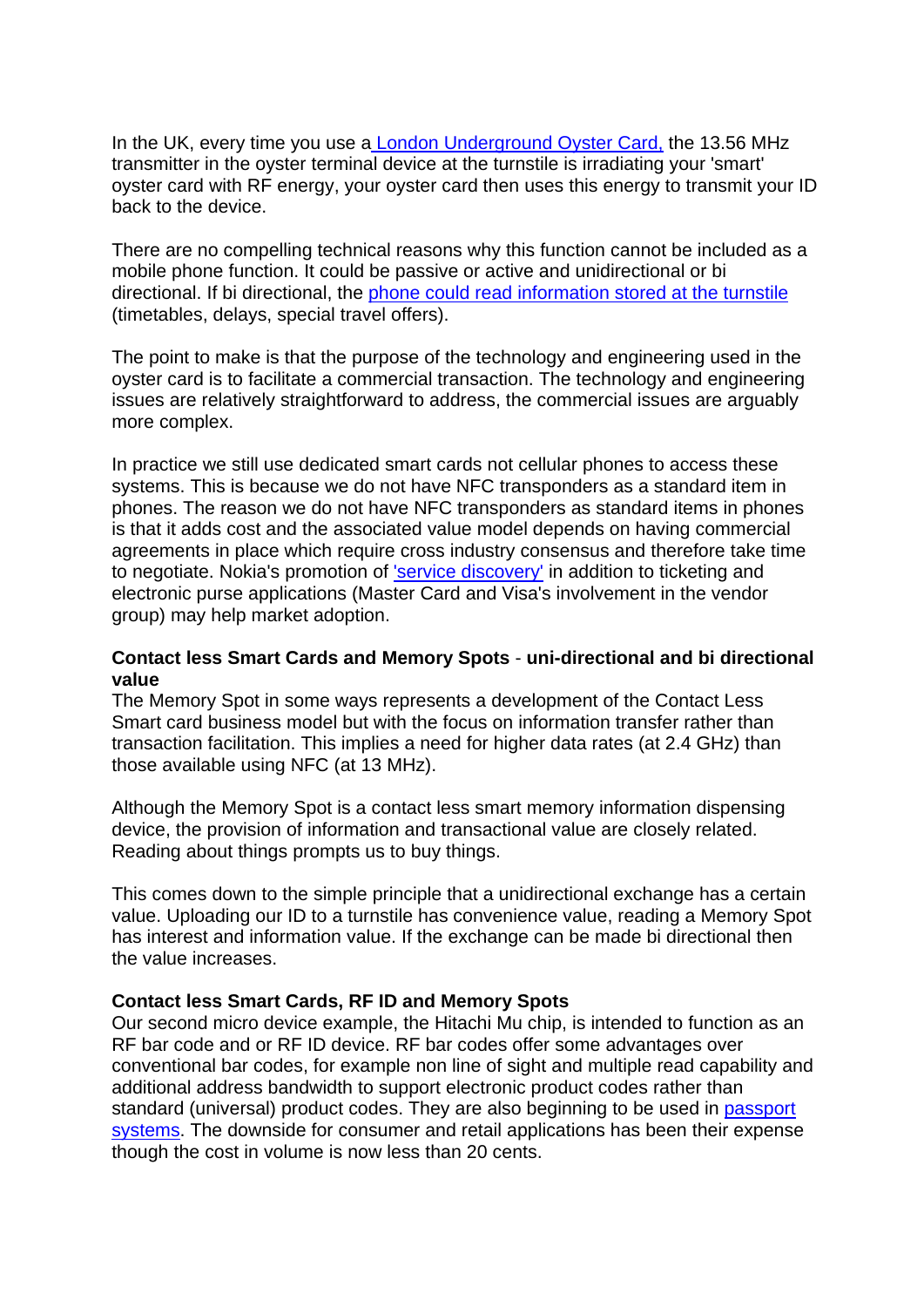In the UK, every time you use [a London Underground Oyster Card,](http://www.tfl.gov.uk/tfl/press-centre/image-gallery/images/rez-low/l-oyster-card-2.jpg) the 13.56 MHz transmitter in the oyster terminal device at the turnstile is irradiating your 'smart' oyster card with RF energy, your oyster card then uses this energy to transmit your ID back to the device.

There are no compelling technical reasons why this function cannot be included as a mobile phone function. It could be passive or active and unidirectional or bi directional. If bi directional, the [phone could read information stored at the turnstile](http://www.tfl.gov.uk/tfl/press-centre/image-gallery/images/rez-low/l-wireless-travel-information.jpg)  (timetables, delays, special travel offers).

The point to make is that the purpose of the technology and engineering used in the oyster card is to facilitate a commercial transaction. The technology and engineering issues are relatively straightforward to address, the commercial issues are arguably more complex.

In practice we still use dedicated smart cards not cellular phones to access these systems. This is because we do not have NFC transponders as a standard item in phones. The reason we do not have NFC transponders as standard items in phones is that it adds cost and the associated value model depends on having commercial agreements in place which require cross industry consensus and therefore take time to negotiate. Nokia's promotion of ['service discovery'](http://www.nokia.com/link?cid=EDITORIAL_4793) in addition to ticketing and electronic purse applications (Master Card and Visa's involvement in the vendor group) may help market adoption.

### **Contact less Smart Cards and Memory Spots** - **uni-directional and bi directional value**

The Memory Spot in some ways represents a development of the Contact Less Smart card business model but with the focus on information transfer rather than transaction facilitation. This implies a need for higher data rates (at 2.4 GHz) than those available using NFC (at 13 MHz).

Although the Memory Spot is a contact less smart memory information dispensing device, the provision of information and transactional value are closely related. Reading about things prompts us to buy things.

This comes down to the simple principle that a unidirectional exchange has a certain value. Uploading our ID to a turnstile has convenience value, reading a Memory Spot has interest and information value. If the exchange can be made bi directional then the value increases.

#### **Contact less Smart Cards, RF ID and Memory Spots**

Our second micro device example, the Hitachi Mu chip, is intended to function as an RF bar code and or RF ID device. RF bar codes offer some advantages over conventional bar codes, for example non line of sight and multiple read capability and additional address bandwidth to support electronic product codes rather than standard (universal) product codes. They are also beginning to be used in [passport](http://www.infineon.com/cgi-bin/ifx/portal/ep/contentView.do?channelId=-65777&prgId=&yearId=-79914&contentId=195153&programId=57426&pageTypeId=17226&contentType=NEWS&endIndex=5&quarterId=-87192&startIndex=0&paging=next&searchString=&channelPage=%2Fep%2Fchannel%2FnewsChannel.jsp)  [systems.](http://www.infineon.com/cgi-bin/ifx/portal/ep/contentView.do?channelId=-65777&prgId=&yearId=-79914&contentId=195153&programId=57426&pageTypeId=17226&contentType=NEWS&endIndex=5&quarterId=-87192&startIndex=0&paging=next&searchString=&channelPage=%2Fep%2Fchannel%2FnewsChannel.jsp) The downside for consumer and retail applications has been their expense though the cost in volume is now less than 20 cents.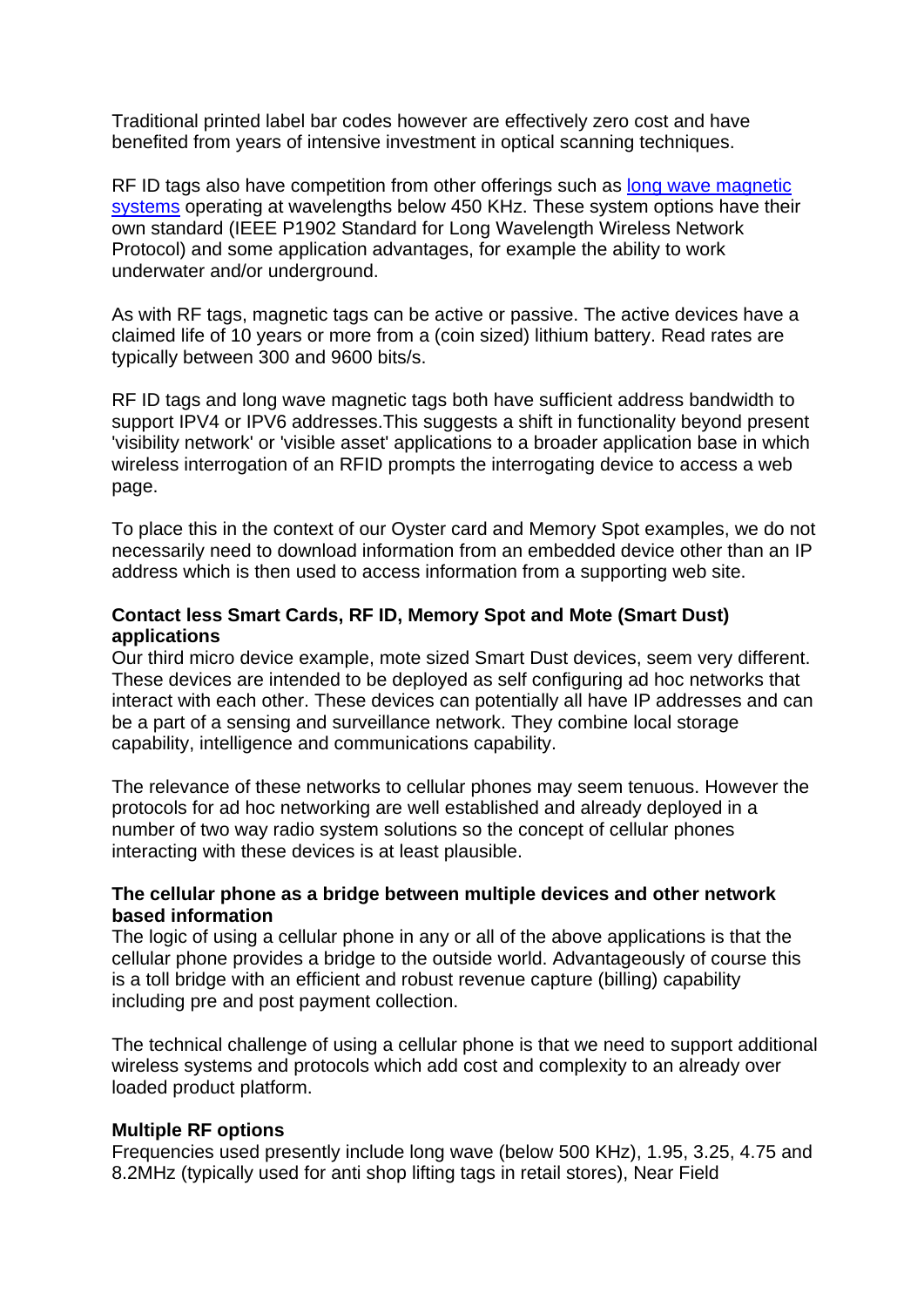Traditional printed label bar codes however are effectively zero cost and have benefited from years of intensive investment in optical scanning techniques.

RF ID tags also have competition from other offerings such as [long wave magnetic](http://www.rfidjournal.com/article/articleview/2436/)  [systems](http://www.rfidjournal.com/article/articleview/2436/) operating at wavelengths below 450 KHz. These system options have their own standard (IEEE P1902 Standard for Long Wavelength Wireless Network Protocol) and some application advantages, for example the ability to work underwater and/or underground.

As with RF tags, magnetic tags can be active or passive. The active devices have a claimed life of 10 years or more from a (coin sized) lithium battery. Read rates are typically between 300 and 9600 bits/s.

RF ID tags and long wave magnetic tags both have sufficient address bandwidth to support IPV4 or IPV6 addresses. This suggests a shift in functionality beyond present 'visibility network' or 'visible asset' applications to a broader application base in which wireless interrogation of an RFID prompts the interrogating device to access a web page.

To place this in the context of our Oyster card and Memory Spot examples, we do not necessarily need to download information from an embedded device other than an IP address which is then used to access information from a supporting web site.

## **Contact less Smart Cards, RF ID, Memory Spot and Mote (Smart Dust) applications**

Our third micro device example, mote sized Smart Dust devices, seem very different. These devices are intended to be deployed as self configuring ad hoc networks that interact with each other. These devices can potentially all have IP addresses and can be a part of a sensing and surveillance network. They combine local storage capability, intelligence and communications capability.

The relevance of these networks to cellular phones may seem tenuous. However the protocols for ad hoc networking are well established and already deployed in a number of two way radio system solutions so the concept of cellular phones interacting with these devices is at least plausible.

### **The cellular phone as a bridge between multiple devices and other network based information**

The logic of using a cellular phone in any or all of the above applications is that the cellular phone provides a bridge to the outside world. Advantageously of course this is a toll bridge with an efficient and robust revenue capture (billing) capability including pre and post payment collection.

The technical challenge of using a cellular phone is that we need to support additional wireless systems and protocols which add cost and complexity to an already over loaded product platform.

### **Multiple RF options**

Frequencies used presently include long wave (below 500 KHz), 1.95, 3.25, 4.75 and 8.2MHz (typically used for anti shop lifting tags in retail stores), Near Field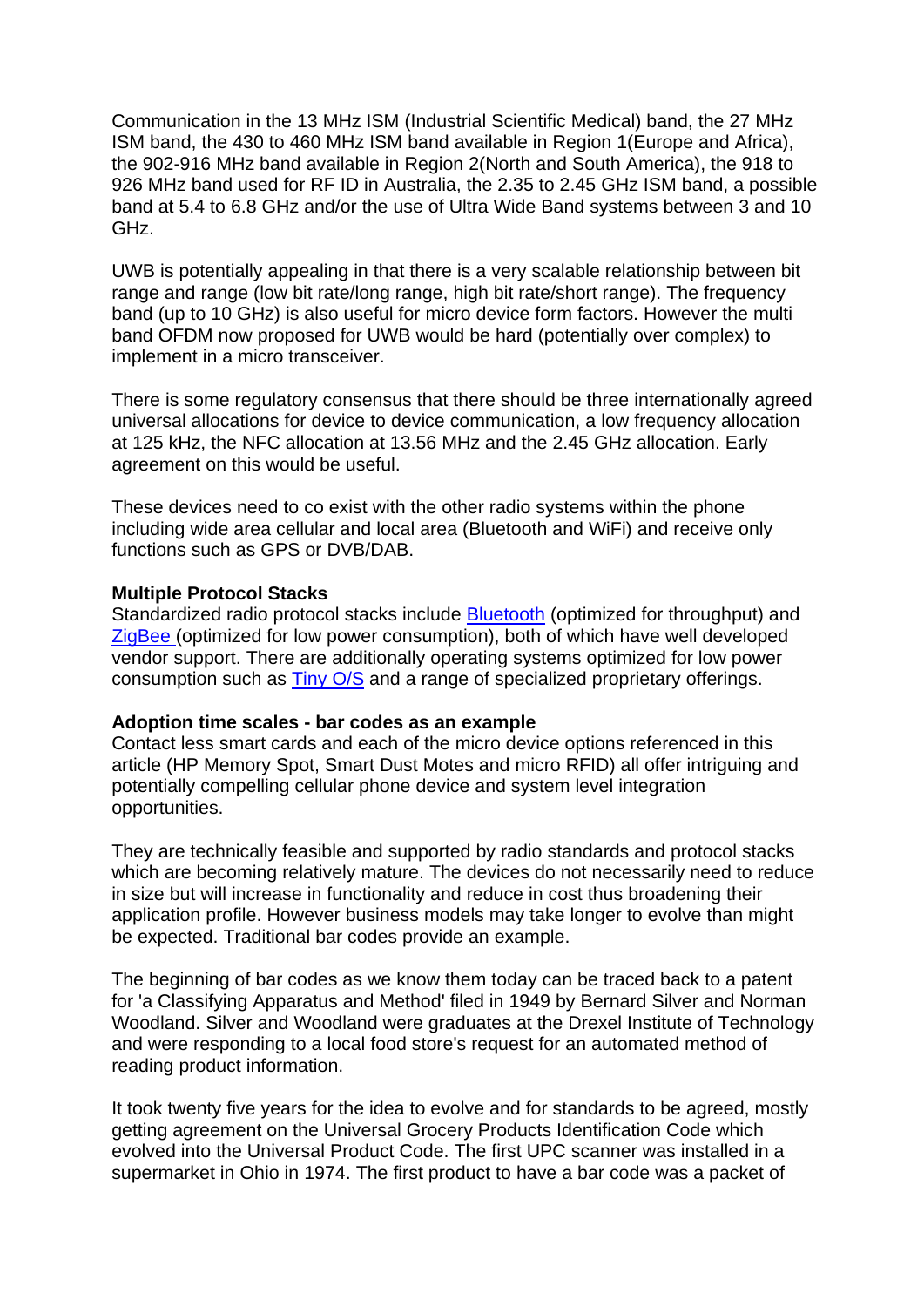Communication in the 13 MHz ISM (Industrial Scientific Medical) band, the 27 MHz ISM band, the 430 to 460 MHz ISM band available in Region 1(Europe and Africa), the 902-916 MHz band available in Region 2(North and South America), the 918 to 926 MHz band used for RF ID in Australia, the 2.35 to 2.45 GHz ISM band, a possible band at 5.4 to 6.8 GHz and/or the use of Ultra Wide Band systems between 3 and 10 GHz.

UWB is potentially appealing in that there is a very scalable relationship between bit range and range (low bit rate/long range, high bit rate/short range). The frequency band (up to 10 GHz) is also useful for micro device form factors. However the multi band OFDM now proposed for UWB would be hard (potentially over complex) to implement in a micro transceiver.

There is some regulatory consensus that there should be three internationally agreed universal allocations for device to device communication, a low frequency allocation at 125 kHz, the NFC allocation at 13.56 MHz and the 2.45 GHz allocation. Early agreement on this would be useful.

These devices need to co exist with the other radio systems within the phone including wide area cellular and local area (Bluetooth and WiFi) and receive only functions such as GPS or DVB/DAB.

#### **Multiple Protocol Stacks**

Standardized radio protocol stacks include **[Bluetooth](http://www.bluetooth.com/bluetooth/)** (optimized for throughput) and [ZigBee](http://www.zigbee.org/en/index.asp) (optimized for low power consumption), both of which have well developed vendor support. There are additionally operating systems optimized for low power consumption such as [Tiny O/S](http://www.tinyos.net/) and a range of specialized proprietary offerings.

#### **Adoption time scales - bar codes as an example**

Contact less smart cards and each of the micro device options referenced in this article (HP Memory Spot, Smart Dust Motes and micro RFID) all offer intriguing and potentially compelling cellular phone device and system level integration opportunities.

They are technically feasible and supported by radio standards and protocol stacks which are becoming relatively mature. The devices do not necessarily need to reduce in size but will increase in functionality and reduce in cost thus broadening their application profile. However business models may take longer to evolve than might be expected. Traditional bar codes provide an example.

The beginning of bar codes as we know them today can be traced back to a patent for 'a Classifying Apparatus and Method' filed in 1949 by Bernard Silver and Norman Woodland. Silver and Woodland were graduates at the Drexel Institute of Technology and were responding to a local food store's request for an automated method of reading product information.

It took twenty five years for the idea to evolve and for standards to be agreed, mostly getting agreement on the Universal Grocery Products Identification Code which evolved into the Universal Product Code. The first UPC scanner was installed in a supermarket in Ohio in 1974. The first product to have a bar code was a packet of